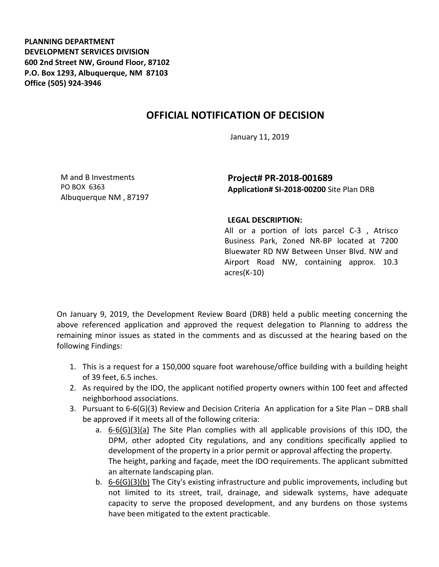**PLANNING DEPARTMENT DEVELOPMENT SERVICES DIVISION 600 2nd Street NW, Ground Floor, 87102 P.O. Box 1293, Albuquerque, NM 87103 Office (505) 924-3946** 

## **OFFICIAL NOTIFICATION OF DECISION**

January 11, 2019

M and B Investments PO BOX 6363 Albuquerque NM , 87197

**Project# PR-2018-001689 Application# SI-2018-00200** Site Plan DRB

## **LEGAL DESCRIPTION:**

All or a portion of lots parcel C-3 , Atrisco Business Park, Zoned NR-BP located at 7200 Bluewater RD NW Between Unser Blvd. NW and Airport Road NW, containing approx. 10.3 acres(K-10)

On January 9, 2019, the Development Review Board (DRB) held a public meeting concerning the above referenced application and approved the request delegation to Planning to address the remaining minor issues as stated in the comments and as discussed at the hearing based on the following Findings:

- 1. This is a request for a 150,000 square foot warehouse/office building with a building height of 39 feet, 6.5 inches.
- 2. As required by the IDO, the applicant notified property owners within 100 feet and affected neighborhood associations.
- 3. Pursuant to 6-6(G)(3) Review and Decision Criteria An application for a Site Plan DRB shall be approved if it meets all of the following criteria:
	- a. 6-6(G)(3)(a) The Site Plan complies with all applicable provisions of this IDO, the DPM, other adopted City regulations, and any conditions specifically applied to development of the property in a prior permit or approval affecting the property. The height, parking and façade, meet the IDO requirements. The applicant submitted an alternate landscaping plan.
	- b.  $6-6(6)(3)(b)$  The City's existing infrastructure and public improvements, including but not limited to its street, trail, drainage, and sidewalk systems, have adequate capacity to serve the proposed development, and any burdens on those systems have been mitigated to the extent practicable.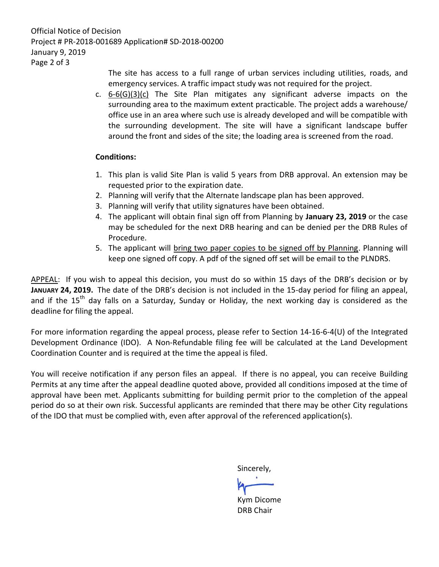Official Notice of Decision Project # PR-2018-001689 Application# SD-2018-00200 January 9, 2019 Page 2 of 3

> The site has access to a full range of urban services including utilities, roads, and emergency services. A traffic impact study was not required for the project.

c. 6-6(G)(3)(c) The Site Plan mitigates any significant adverse impacts on the surrounding area to the maximum extent practicable. The project adds a warehouse/ office use in an area where such use is already developed and will be compatible with the surrounding development. The site will have a significant landscape buffer around the front and sides of the site; the loading area is screened from the road.

## **Conditions:**

- 1. This plan is valid Site Plan is valid 5 years from DRB approval. An extension may be requested prior to the expiration date.
- 2. Planning will verify that the Alternate landscape plan has been approved.
- 3. Planning will verify that utility signatures have been obtained.
- 4. The applicant will obtain final sign off from Planning by **January 23, 2019** or the case may be scheduled for the next DRB hearing and can be denied per the DRB Rules of Procedure.
- 5. The applicant will bring two paper copies to be signed off by Planning. Planning will keep one signed off copy. A pdf of the signed off set will be email to the PLNDRS.

APPEAL: If you wish to appeal this decision, you must do so within 15 days of the DRB's decision or by **JANUARY 24, 2019.** The date of the DRB's decision is not included in the 15-day period for filing an appeal, and if the  $15<sup>th</sup>$  day falls on a Saturday, Sunday or Holiday, the next working day is considered as the deadline for filing the appeal.

For more information regarding the appeal process, please refer to Section 14-16-6-4(U) of the Integrated Development Ordinance (IDO). A Non-Refundable filing fee will be calculated at the Land Development Coordination Counter and is required at the time the appeal is filed.

You will receive notification if any person files an appeal. If there is no appeal, you can receive Building Permits at any time after the appeal deadline quoted above, provided all conditions imposed at the time of approval have been met. Applicants submitting for building permit prior to the completion of the appeal period do so at their own risk. Successful applicants are reminded that there may be other City regulations of the IDO that must be complied with, even after approval of the referenced application(s).

Sincerely,

Kym Dicome DRB Chair